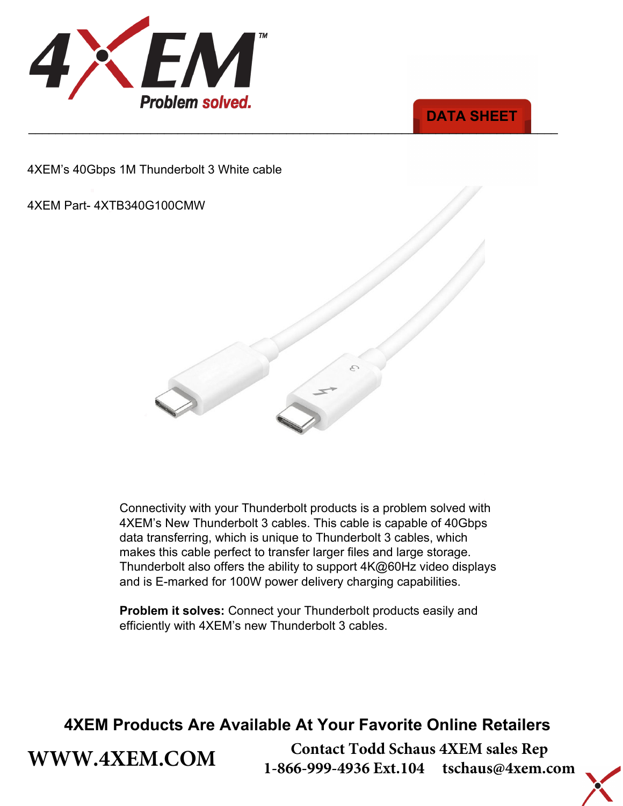



4XEM's 40Gbps 1M Thunderbolt 3 White cable

#### 4XEM Part- 4XTB340G100CMW

**[WWW.4XEM.COM](www.4xem.com)** 



Connectivity with your Thunderbolt products is a problem solved with 4XEM's New Thunderbolt 3 cables. This cable is capable of 40Gbps data transferring, which is unique to Thunderbolt 3 cables, which makes this cable perfect to transfer larger files and large storage. Thunderbolt also offers the ability to support 4K@60Hz video displays and is E-marked for 100W power delivery charging capabilities.

**Problem it solves:** Connect your Thunderbolt products easily and efficiently with 4XEM's new Thunderbolt 3 cables.

### **4XEM Products Are Available At Your Favorite Online Retailers**

**Contact Todd Schaus 4XEM sales Rep 1-866-999-4936 Ext.104 tschaus@4xem.com**

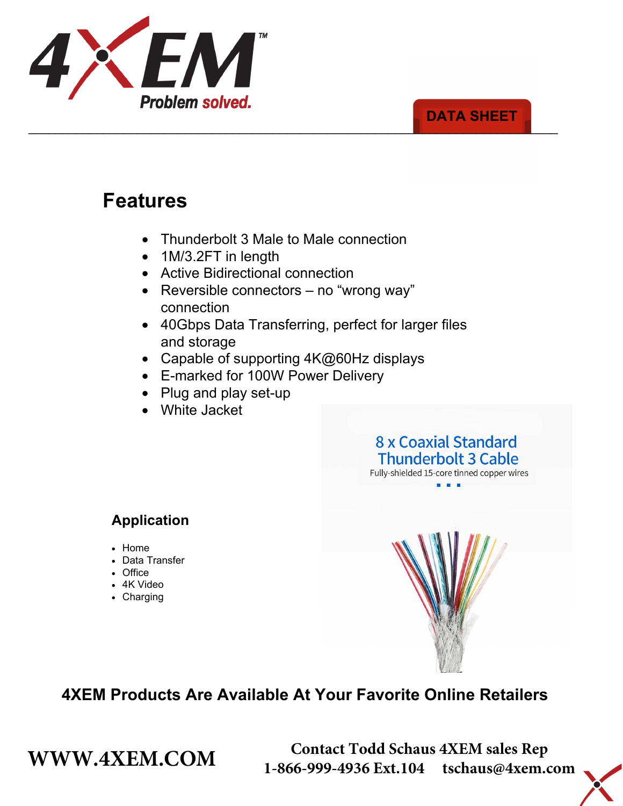

#### \_\_\_\_\_\_\_\_\_\_\_\_\_\_\_\_\_\_\_\_\_\_\_\_\_\_\_\_\_\_\_\_\_\_\_\_\_\_\_\_\_\_\_\_\_\_\_\_\_\_\_\_\_\_\_\_\_\_\_\_\_\_\_\_\_\_\_\_\_\_\_\_\_\_\_\_\_\_ **DATA SHEET**

# **Features**

- Thunderbolt 3 Male to Male connection
- 1M/3.2FT in length
- Active Bidirectional connection
- Reversible connectors no "wrong way" connection
- 40Gbps Data Transferring, perfect for larger files and storage
- Capable of supporting 4K@60Hz displays
- E-marked for 100W Power Delivery
- Plug and play set-up
- White Jacket

#### 8 x Coaxial Standard **Thunderbolt 3 Cable** Fully-shielded 15-core tinned copper wires

### **Application**

- Home
- Data Transfer
- Office
- 4K Video
- Charging



## **4XEM Products Are Available At Your Favorite Online Retailers**

**WWW.4XEM.COM** <sup>Contact Todd Schaus 4XEM sales Rep<br>1-866-999-4936 Ext.104 tschaus@4xem.com</sup> 1-866-999-4936 Ext.104